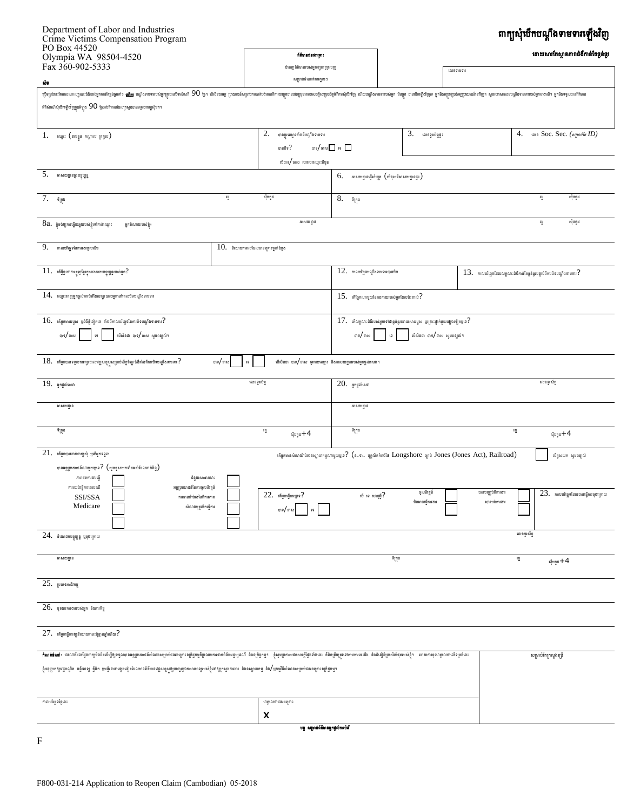## ពាក្យសុំបើកបណ្តឹងទាមទារឡើងវិញ

| I U DUA TTJZU<br>Olympia WA 98504-4520                                                                                                                                                                                                    |                                                         | ព័ត៌មានជនរងគ្រោះ                                                                                          |                                                                                                 |                           | ដោយសារតែស្ថានភាពជំងឺកាន់តែធ្ងន់ធ្ងរ                                              |                   |                                |                                                                                                                                                                                                                               |
|-------------------------------------------------------------------------------------------------------------------------------------------------------------------------------------------------------------------------------------------|---------------------------------------------------------|-----------------------------------------------------------------------------------------------------------|-------------------------------------------------------------------------------------------------|---------------------------|----------------------------------------------------------------------------------|-------------------|--------------------------------|-------------------------------------------------------------------------------------------------------------------------------------------------------------------------------------------------------------------------------|
| Fax 360-902-5333                                                                                                                                                                                                                          | បំពេញព័ត៌មានរបស់អ្នកឲ្យពេញលេញ<br>សម្រាប់ចំណាត់ការភ្លាមៗ |                                                                                                           |                                                                                                 |                           | លេខទាមទារ                                                                        |                   |                                |                                                                                                                                                                                                                               |
| ŃВ                                                                                                                                                                                                                                        |                                                         |                                                                                                           |                                                                                                 |                           |                                                                                  |                   |                                |                                                                                                                                                                                                                               |
| អំពីសំណើសុំបើកឡើងវិញក្នុងអំឡុង $90$ ថ្ងៃចាប់ពីពេលដែលក្រសួងបានទទួលពាក្យសុំមក។                                                                                                                                                              |                                                         |                                                                                                           |                                                                                                 |                           |                                                                                  |                   |                                |                                                                                                                                                                                                                               |
| $1.$ หญา: (ตษยูย กญาณ หูทุณ)                                                                                                                                                                                                              | 2.<br>បានប្តូរឈ្មោះតាំងពីបណ្តឹងទាមទារ                   |                                                                                                           |                                                                                                 | $3.$ $\omega$ ะดูเพ้ตูสู: |                                                                                  |                   | 4. WE SOC. Sec. (Argentius ID) |                                                                                                                                                                                                                               |
|                                                                                                                                                                                                                                           |                                                         | $\omega$ and $\omega$ and $\omega$<br>បានចិទ $?$                                                          |                                                                                                 |                           |                                                                                  |                   |                                |                                                                                                                                                                                                                               |
|                                                                                                                                                                                                                                           | ចើបាទ/ ចាស  សរសេរឈ្មោះពីមុខ                             |                                                                                                           |                                                                                                 |                           |                                                                                  |                   |                                |                                                                                                                                                                                                                               |
| $5.$ អាសយដ្ឋានផ្ទះបច្ចុប្បន្ន                                                                                                                                                                                                             |                                                         |                                                                                                           | 6.<br>អាសយដ្ឋានផ្ញើសំបុត្រ $\left($ មើខុសពីអាសយដ្ឋានផ្ទុះ $\right)$                             |                           |                                                                                  |                   |                                |                                                                                                                                                                                                                               |
| ਥੂ<br>ស៊ីបកូដ<br>7. $\mathfrak{s}_{\mathbb{I}_r^{\text{na}}}$                                                                                                                                                                             |                                                         |                                                                                                           | រដ្ឋ<br>ស៊ីបកូដ<br>8. $\mathfrak{s}_{\mathbb{I}_r^{\text{na}}}$                                 |                           |                                                                                  |                   |                                |                                                                                                                                                                                                                               |
| 8a. ខ្ញុំចង់ឲ្យការធ្វើយឆ្លងរបស់ខ្ញុំទៅកាន់ឈ្មោះ<br>អ្នកតំណាងរបស់ខ្ញុំ៖                                                                                                                                                                    |                                                         |                                                                                                           |                                                                                                 |                           |                                                                                  | ស៊ីបកូដ<br>摺      |                                |                                                                                                                                                                                                                               |
| 9.<br>កាលបរិច្ឆេទនៃការរងរបួសដើម                                                                                                                                                                                                           | $10.$ និយោជកពេលដែលមានគ្រោះថ្នាក់ដំបូង                   |                                                                                                           |                                                                                                 |                           |                                                                                  |                   |                                |                                                                                                                                                                                                                               |
| $\,11.\,$ កើអ្វីខ្លះជាការត្អូញត្អែរក្នុងរាងកាយបច្ចុប្បន្នរបស់អ្នក $?$                                                                                                                                                                     |                                                         |                                                                                                           | $12.$ manigeral assembles<br>$13.$ matting other and the matter state in the state of $\cdot$ ? |                           |                                                                                  |                   |                                |                                                                                                                                                                                                                               |
| $14.$ ពេញះពេញអ្នកផ្តល់ការបំរើដែលព្យាបាលអ្នកនៅពេលបិទបណ្តឹងទាមទារ                                                                                                                                                                           |                                                         |                                                                                                           | $15.$ អើផ្នែកណាមួយនៃរាងកាយរបស់អ្នកដែលប៉ះពាល់?                                                   |                           |                                                                                  |                   |                                |                                                                                                                                                                                                                               |
| $16. \,$ កើររួកមានរបួស ប្រជំងឺថ្មីទៀតទេ តាំងពីកាលបរិច្ឆេទនៃការបិទបណ្តឹងទាមទារ ?                                                                                                                                                           |                                                         |                                                                                                           |                                                                                                 |                           | $17.$ កើលក្ខណៈជំងឺរបស់អ្នកទៅជាធ្ងន់ធ្ងរដោយសាររបួស ប្រគ្រាះថ្នាក់មួយផ្សេងទៀតប្រទ? |                   |                                |                                                                                                                                                                                                                               |
| បាទ/ ចាស<br>បើសិនជា បាទ/ ចាស សូមពន្យល់។<br>$\mathfrak{z} \mathfrak{g}$                                                                                                                                                                    |                                                         |                                                                                                           | បើសិនជា បាទ/ ចាស សូមពន្យល់។<br>បាទ/ ចាស<br>$\mathfrak{g}_4$                                     |                           |                                                                                  |                   |                                |                                                                                                                                                                                                                               |
| បើសិនជា បាទ/ ចាស ចូររាយឈ្មោះ និងអាសយដ្ឋានរបស់អ្នកផ្តល់សេវា។<br>$18.$ កើររុកបានទទួលការព្យាបាលវេជ្ជសាស្រសម្រាប់ល័ក្ខខ័ណ្ឌជំងឺតាំងពីការបិទបណ្តឹងទាមទារ $?$<br>បាទ/ ចាស<br>19                                                                 |                                                         |                                                                                                           |                                                                                                 |                           |                                                                                  |                   |                                |                                                                                                                                                                                                                               |
| លេខទូរស័ព្ទ<br>$19.$ มูกสูญ่หมก                                                                                                                                                                                                           |                                                         |                                                                                                           | លេខទូរស័ព្ទ<br>$20.$ ยุกสูญหมา                                                                  |                           |                                                                                  |                   |                                |                                                                                                                                                                                                                               |
| រពសយដ្ឋាន                                                                                                                                                                                                                                 |                                                         |                                                                                                           | រកសយដ្ឋាន                                                                                       |                           |                                                                                  |                   |                                |                                                                                                                                                                                                                               |
| ទីក្រុង                                                                                                                                                                                                                                   |                                                         | ਥੂ<br>ស៊ីបចូដ $+\mathbf{4}$                                                                               | ទីក្រុង                                                                                         |                           |                                                                                  |                   | 챞                              | ស៊ីបចូដ $+\mathbf{4}$                                                                                                                                                                                                         |
| $21.$ កើន្ទកបានដាក់ពាក្យសុំ ប្រតិន្ទុកទទួល                                                                                                                                                                                                |                                                         | เห็นทองอย่ามกลับห่อยมากมากของพุษธูเจ? (อ.ต. บุรุเบิกกิตล์หัน Longshore อุกษ์ Jones (Jones Act), Railroad) |                                                                                                 |                           |                                                                                  |                   |                                | បើគូសយក សូមពន្យល់                                                                                                                                                                                                             |
| បានអត្ថប្រយោជន៍ណាមួយប្បទ $?$ (ស្ទួមគួសយកទាំងអស់ដែលពាក់ព័ន្ធ)<br>ភាពឥតការងារធ្វើ<br>ជំនួយសាធារណៈ                                                                                                                                           |                                                         |                                                                                                           |                                                                                                 |                           |                                                                                  |                   |                                |                                                                                                                                                                                                                               |
| ការឈប់ធ្វើការពេលឃើ<br>អត្ថប្រយោជន៍នៃការចូលនិវត្តន៍<br>SSI/SSA<br>ការធានារ៉ាប់រងនៃពិការភាព                                                                                                                                                 |                                                         | $22.$ ห้มูกญีตหนูเจ?                                                                                      | ថើ ទេ ហេតុអ្វី?                                                                                 |                           | ចូលនិវត្តន៍                                                                      | បានបញ្ឈប់ពីការងារ |                                | $23.$ maning via an ang mangkapang mangkapang mangkapang mangkapang mangkapang mangkapang mangkapang mangkapang mangkapang mangkapang mangkapang mangkapang mangkapang mangkapang mangkapang mangkapang mangkapang mangkapang |
| Medicare<br>សំណងបុគ្គលិកធ្វើការ                                                                                                                                                                                                           |                                                         | $\mathfrak{g}$ and $\mathfrak{g}$                                                                         |                                                                                                 |                           | មិនអាចធ្វើការងារ                                                                 | ញេះបង់ការងារ      |                                |                                                                                                                                                                                                                               |
|                                                                                                                                                                                                                                           |                                                         |                                                                                                           |                                                                                                 |                           |                                                                                  |                   |                                |                                                                                                                                                                                                                               |
| $24.$ និយោជកបច្ចុប្បន្ន ឬចុងក្រោយ                                                                                                                                                                                                         |                                                         |                                                                                                           |                                                                                                 |                           |                                                                                  |                   | លេខទូរស័ព្ទ                    |                                                                                                                                                                                                                               |
| រវាសយដ្ឋាន                                                                                                                                                                                                                                |                                                         |                                                                                                           |                                                                                                 | ទីក្រុង                   |                                                                                  |                   | ਥੂ                             | ស៊ុបកូដ $+4$                                                                                                                                                                                                                  |
| $25.$ puremating                                                                                                                                                                                                                          |                                                         |                                                                                                           |                                                                                                 |                           |                                                                                  |                   |                                |                                                                                                                                                                                                                               |
| $26.$ usaunuanuung saming                                                                                                                                                                                                                 |                                                         |                                                                                                           |                                                                                                 |                           |                                                                                  |                   |                                |                                                                                                                                                                                                                               |
| $27.$ កើន្ទកធ្វើការឲ្យនិយោជកនេះប៉ុន្មានឆ្នាំហើយ?                                                                                                                                                                                          |                                                         |                                                                                                           |                                                                                                 |                           |                                                                                  |                   |                                |                                                                                                                                                                                                                               |
| <mark>ลំណត់ចំណាំ</mark> ៖ ជនណាដែលផ្នែង៣ក្យមិនពិតដើម្បីឲ្យទទួលបានស្តេយយកនឹងបែកនោះទៀបនេះនៅព្រះយោធនាគនិយាយបាន និងស្វាដ្ឋាម ខ្ញុំសមប្រាសថាសចក្តីផ្លែទាំងនេះ គឺពិតត្រឹមស្រះទាំងមាសនេះដឹង និងជំនឿដំប្រសើរចំផុតរបស់ខ្ញុំ។ ដោយការចុះហត្ថលេខាលើទម្ |                                                         |                                                                                                           |                                                                                                 |                           |                                                                                  |                   |                                | សម្រាប់តែក្រសួងប្រើ                                                                                                                                                                                                           |
| ខ្ញុំអនុញ្ញាតឲ្យជួបណ្ឌិត មន្ទីរពេទ្យ គ្លីនិក ឬមន្ទីរនានាក្យូងនៅត្រូវបានព័ត៌មានគ្រោះស្រាបក្សាពលរដ្ឋមានប្រកួត និងនិងប្រាបថ និង/ឬកម្មវិធីសំណងសម្រាប់ផនងគ្រោះខក្រិដ្ឋកម្ម។                                                                    |                                                         |                                                                                                           |                                                                                                 |                           |                                                                                  |                   |                                |                                                                                                                                                                                                                               |
| កាលបរិច្ឆេទថ្ងៃនេះ                                                                                                                                                                                                                        |                                                         | ហត្ថលេខាជនរងគ្រោះ                                                                                         |                                                                                                 |                           |                                                                                  |                   |                                |                                                                                                                                                                                                                               |
|                                                                                                                                                                                                                                           |                                                         | X                                                                                                         |                                                                                                 |                           |                                                                                  |                   |                                |                                                                                                                                                                                                                               |
|                                                                                                                                                                                                                                           |                                                         | បន្ត សម្រាប់ព័ត៌មានអ្នកផ្តល់ការបំរើ                                                                       |                                                                                                 |                           |                                                                                  |                   |                                |                                                                                                                                                                                                                               |

 $\mathbf F$